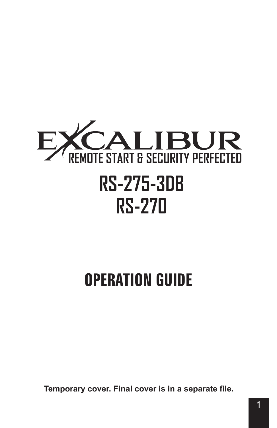

# **OPERATION GUIDE**

**Temporary cover. Final cover is in a separate file.**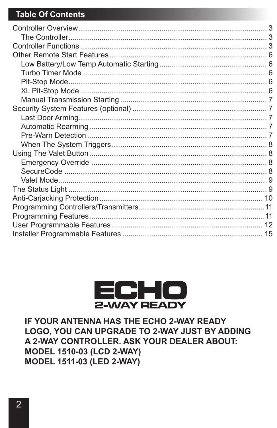## **Table Of Contents**



IF YOUR ANTENNA HAS THE ECHO 2-WAY READY LOGO, YOU CAN UPGRADE TO 2-WAY JUST BY ADDING A 2-WAY CONTROLLER, ASK YOUR DEALER ABOUT: **MODEL 1510-03 (LCD 2-WAY) MODEL 1511-03 (LED 2-WAY)**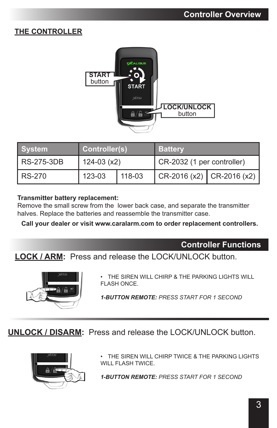### **THE CONTROLLER**



| <b>System</b>     | Controller(s) |        | <b>Batterv</b>             |                            |
|-------------------|---------------|--------|----------------------------|----------------------------|
| <b>RS-275-3DB</b> | 124-03 (x2)   |        | CR-2032 (1 per controller) |                            |
| <b>RS-270</b>     | 123-03        | 118-03 |                            | $CR-2016(x2)$ CR-2016 (x2) |

#### **Transmitter battery replacement:**

Remove the small screw from the lower back case, and separate the transmitter halves. Replace the batteries and reassemble the transmitter case.

**Call your dealer or visit www.caralarm.com to order replacement controllers.**

## **Controller Functions**

**LOCK / ARM:** Press and release the LOCK/UNLOCK button.



• THE SIREN WILL CHIRP & THE PARKING LIGHTS WILL FLASH ONCE.

*1-BUTTON REMOTE: PRESS START FOR 1 SECOND*

**UNLOCK / DISARM:** Press and release the LOCK/UNLOCK button.



THE SIREN WILL CHIRP TWICE & THE PARKING LIGHTS WILL FLASH TWICE.

*1-BUTTON REMOTE: PRESS START FOR 1 SECOND*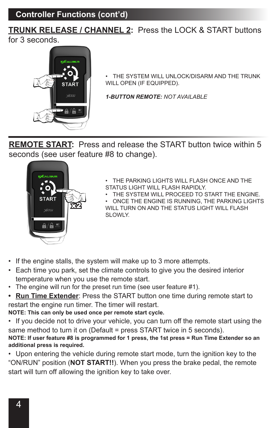## **TRUNK RELEASE / CHANNEL 2:** Press the LOCK & START buttons for 3 seconds.



• THE SYSTEM WILL UNLOCK/DISARM AND THE TRUNK WILL OPEN (IF EQUIPPED).

*1-BUTTON REMOTE: NOT AVAILABLE*

**REMOTE START:** Press and release the START button twice within 5 seconds (see user feature #8 to change).



- THE PARKING LIGHTS WILL FLASH ONCE AND THE STATUS LIGHT WILL FLASH RAPIDLY.
- THE SYSTEM WILL PROCEED TO START THE ENGINE.
- ONCE THE ENGINE IS RUNNING, THE PARKING LIGHTS WILL TURN ON AND THE STATUS LIGHT WILL FLASH SLOWLY.
- If the engine stalls, the system will make up to 3 more attempts.
- Each time you park, set the climate controls to give you the desired interior temperature when you use the remote start.
- The engine will run for the preset run time (see user feature #1).
- **• Run Time Extender**: Press the START button one time during remote start to restart the engine run timer. The timer will restart.

**NOTE: This can only be used once per remote start cycle.** 

• If you decide not to drive your vehicle, you can turn off the remote start using the same method to turn it on (Default = press START twice in 5 seconds).

**NOTE: If user feature #8 is programmed for 1 press, the 1st press = Run Time Extender so an additional press is required.**

• Upon entering the vehicle during remote start mode, turn the ignition key to the "ON/RUN" position (**NOT START!!**). When you press the brake pedal, the remote start will turn off allowing the ignition key to take over.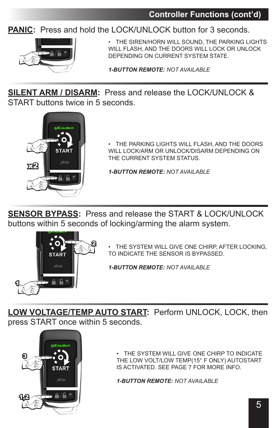## **PANIC:** Press and hold the LOCK/UNLOCK button for 3 seconds.



• THE SIREN/HORN WILL SOUND, THE PARKING LIGHTS WILL FLASH, AND THE DOORS WILL LOCK OR UNLOCK DEPENDING ON CURRENT SYSTEM STATE.

*1-BUTTON REMOTE: NOT AVAILABLE*

**SILENT ARM / DISARM:** Press and release the LOCK/UNLOCK & START buttons twice in 5 seconds.



• THE PARKING LIGHTS WILL FLASH, AND THE DOORS WILL LOCK/ARM OR UNLOCK/DISARM DEPENDING ON THE CURRENT SYSTEM STATUS.

*1-BUTTON REMOTE: NOT AVAILABLE*

**SENSOR BYPASS:** Press and release the START & LOCK/UNLOCK buttons within 5 seconds of locking/arming the alarm system.



THE SYSTEM WILL GIVE ONE CHIRP, AFTER LOCKING, TO INDICATE THE SENSOR IS BYPASSED.

*1-BUTTON REMOTE: NOT AVAILABLE*

**LOW VOLTAGE/TEMP AUTO START:** Perform UNLOCK, LOCK, then press START once within 5 seconds.



• THE SYSTEM WILL GIVE ONE CHIRP TO INDICATE THE LOW VOLT/LOW TEMP(15° F ONLY) AUTOSTART IS ACTIVATED. SEE PAGE 7 FOR MORE INFO.

*1-BUTTON REMOTE: NOT AVAILABLE*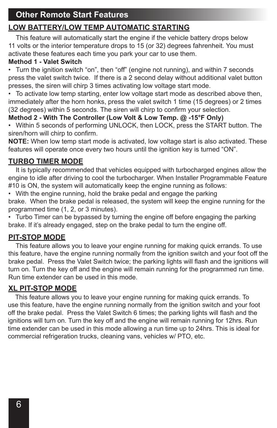## **Other Remote Start Features**

## **LOW BATTERY/LOW TEMP AUTOMATIC STARTING**

This feature will automatically start the engine if the vehicle battery drops below 11 volts or the interior temperature drops to 15 (or 32) degrees fahrenheit. You must activate these features each time you park your car to use them.

#### **Method 1 - Valet Switch**

• Turn the ignition switch "on", then "off" (engine not running), and within 7 seconds press the valet switch twice. If there is a 2 second delay without additional valet button presses, the siren will chirp 3 times activating low voltage start mode.

• To activate low temp starting, enter low voltage start mode as described above then immediately after the horn honks, press the valet switch 1 time (15 degrees) or 2 times (32 degrees) within 5 seconds. The siren will chirp to confirm your selection.

#### **Method 2 - With The Controller (Low Volt & Low Temp. @ -15°F Only)**

• Within 5 seconds of performing UNLOCK, then LOCK, press the START button. The siren/horn will chirp to confirm.

**NOTE:** When low temp start mode is activated, low voltage start is also activated. These features will operate once every two hours until the ignition key is turned "ON".

#### **TURBO TIMER MODE**

It is typically recommended that vehicles equipped with turbocharged engines allow the engine to idle after driving to cool the turbocharger. When Installer Programmable Feature #10 is ON, the system will automatically keep the engine running as follows:

• With the engine running, hold the brake pedal and engage the parking

brake. When the brake pedal is released, the system will keep the engine running for the programmed time (1, 2, or 3 minutes).

• Turbo Timer can be bypassed by turning the engine off before engaging the parking brake. If it's already engaged, step on the brake pedal to turn the engine off.

#### **PIT-STOP MODE**

This feature allows you to leave your engine running for making quick errands. To use this feature, have the engine running normally from the ignition switch and your foot off the brake pedal. Press the Valet Switch twice; the parking lights will flash and the ignitions will turn on. Turn the key off and the engine will remain running for the programmed run time. Run time extender can be used in this mode.

#### **XL PIT-STOP MODE**

This feature allows you to leave your engine running for making quick errands. To use this feature, have the engine running normally from the ignition switch and your foot off the brake pedal. Press the Valet Switch 6 times; the parking lights will flash and the ignitions will turn on. Turn the key off and the engine will remain running for 12hrs. Run time extender can be used in this mode allowing a run time up to 24hrs. This is ideal for commercial refrigeration trucks, cleaning vans, vehicles w/ PTO, etc.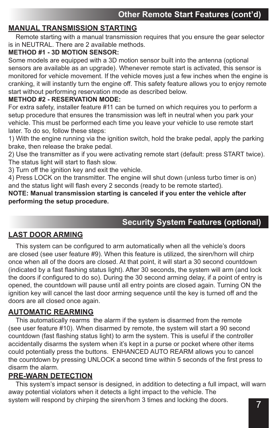### **MANUAL TRANSMISSION STARTING**

Remote starting with a manual transmission requires that you ensure the gear selector is in NEUTRAL. There are 2 available methods.

#### **METHOD #1 - 3D MOTION SENSOR:**

Some models are equipped with a 3D motion sensor built into the antenna (optional sensors are available as an upgrade). Whenever remote start is activated, this sensor is monitored for vehicle movement. If the vehicle moves just a few inches when the engine is cranking, it will instantly turn the engine off. This safety feature allows you to enjoy remote start without performing reservation mode as described below.

#### **METHOD #2 - RESERVATION MODE:**

For extra safety, installer feature #11 can be turned on which requires you to perform a setup procedure that ensures the transmission was left in neutral when you park your vehicle. This must be performed each time you leave your vehicle to use remote start later. To do so, follow these steps:

1) With the engine running via the ignition switch, hold the brake pedal, apply the parking brake, then release the brake pedal.

2) Use the transmitter as if you were activating remote start (default: press START twice). The status light will start to flash slow.

3) Turn off the ignition key and exit the vehicle.

4) Press LOCK on the transmitter. The engine will shut down (unless turbo timer is on) and the status light will flash every 2 seconds (ready to be remote started).

**NOTE: Manual transmission starting is canceled if you enter the vehicle after performing the setup procedure.**

## **Security System Features (optional)**

#### **LAST DOOR ARMING**

This system can be configured to arm automatically when all the vehicle's doors are closed (see user feature #9). When this feature is utilized, the siren/horn will chirp once when all of the doors are closed. At that point, it will start a 30 second countdown (indicated by a fast flashing status light). After 30 seconds, the system will arm (and lock the doors if configured to do so). During the 30 second arming delay, if a point of entry is opened, the countdown will pause until all entry points are closed again. Turning ON the ignition key will cancel the last door arming sequence until the key is turned off and the doors are all closed once again.

#### **AUTOMATIC REARMING**

This automatically rearms the alarm if the system is disarmed from the remote (see user feature #10). When disarmed by remote, the system will start a 90 second countdown (fast flashing status light) to arm the system. This is useful if the controller accidentally disarms the system when it's kept in a purse or pocket where other items could potentially press the buttons. ENHANCED AUTO REARM allows you to cancel the countdown by pressing UNLOCK a second time within 5 seconds of the first press to disarm the alarm.

#### **PRE-WARN DETECTION**

This system's impact sensor is designed, in addition to detecting a full impact, will warn away potential violators when it detects a light impact to the vehicle. The system will respond by chirping the siren/horn 3 times and locking the doors.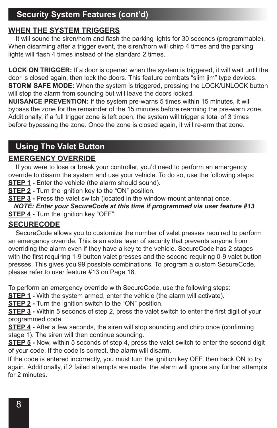## **Security System Features (cont'd)**

### **WHEN THE SYSTEM TRIGGERS**

It will sound the siren/horn and flash the parking lights for 30 seconds (programmable). When disarming after a trigger event, the siren/horn will chirp 4 times and the parking lights will flash 4 times instead of the standard 2 times.

**LOCK ON TRIGGER:** If a door is opened when the system is triggered, it will wait until the door is closed again, then lock the doors. This feature combats "slim jim" type devices. **STORM SAFE MODE:** When the system is triggered, pressing the LOCK/UNLOCK button will stop the alarm from sounding but will leave the doors locked.

**NUISANCE PREVENTION:** If the system pre-warns 5 times within 15 minutes, it will bypass the zone for the remainder of the 15 minutes before rearming the pre-warn zone. Additionally, if a full trigger zone is left open, the system will trigger a total of 3 times before bypassing the zone. Once the zone is closed again, it will re-arm that zone.

## **Using The Valet Button**

#### **EMERGENCY OVERRIDE**

If you were to lose or break your controller, you'd need to perform an emergency override to disarm the system and use your vehicle. To do so, use the following steps: **STEP 1** - Enter the vehicle (the alarm should sound).

**STEP 2 - Turn the ignition key to the "ON" position.** 

**STEP 3 - Press the valet switch (located in the window-mount antenna) once.** 

 *NOTE: Enter your SecureCode at this time if programmed via user feature #13* **STEP 4 -** Turn the ignition key "OFF".

### **SECURECODE**

SecureCode allows you to customize the number of valet presses required to perform an emergency override. This is an extra layer of security that prevents anyone from overriding the alarm even if they have a key to the vehicle. SecureCode has 2 stages with the first requiring 1-9 button valet presses and the second requiring 0-9 valet button presses. This gives you 99 possible combinations. To program a custom SecureCode, please refer to user feature #13 on Page 18.

To perform an emergency override with SecureCode, use the following steps:

**STEP 1** - With the system armed, enter the vehicle (the alarm will activate).

**STEP 2 - Turn the ignition switch to the "ON" position.** 

**STEP 3** - Within 5 seconds of step 2, press the valet switch to enter the first digit of your programmed code.

**STEP 4** - After a few seconds, the siren will stop sounding and chirp once (confirming stage 1). The siren will then continue sounding.

**STEP 5 - Now, within 5 seconds of step 4, press the valet switch to enter the second digit** of your code. If the code is correct, the alarm will disarm.

If the code is entered incorrectly, you must turn the ignition key OFF, then back ON to try again. Additionally, if 2 failed attempts are made, the alarm will ignore any further attempts for 2 minutes.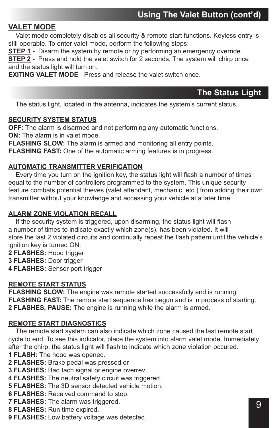#### **VALET MODE**

Valet mode completely disables all security & remote start functions. Keyless entry is still operable. To enter valet mode, perform the following steps:

**STEP 1** - Disarm the system by remote or by performing an emergency override.

**STEP 2 -** Press and hold the valet switch for 2 seconds. The system will chirp once and the status light will turn on.

**EXITING VALET MODE** - Press and release the valet switch once.

### **The Status Light**

The status light, located in the antenna, indicates the system's current status.

#### **SECURITY SYSTEM STATUS**

**OFF:** The alarm is disarmed and not performing any automatic functions. **ON:** The alarm is in valet mode.

**FLASHING SLOW:** The alarm is armed and monitoring all entry points.

**FLASHING FAST:** One of the automatic arming features is in progress.

#### **AUTOMATIC TRANSMITTER VERIFICATION**

Every time you turn on the ignition key, the status light will flash a number of times equal to the number of controllers programmed to the system. This unique security feature combats potential thieves (valet attendant, mechanic, etc.) from adding their own transmitter without your knowledge and accessing your vehicle at a later time.

#### **ALARM ZONE VIOLATION RECALL**

If the security system is triggered, upon disarming, the status light will flash a number of times to indicate exactly which zone(s), has been violated. It will store the last 2 violated circuits and continually repeat the flash pattern until the vehicle's ignition key is turned ON.

**2 FLASHES:** Hood trigger

**3 FLASHES:** Door trigger

**4 FLASHES:** Sensor port trigger

#### **REMOTE START STATUS**

**FLASHING SLOW:** The engine was remote started successfully and is running. **FLASHING FAST:** The remote start sequence has begun and is in process of starting. **2 FLASHES, PAUSE:** The engine is running while the alarm is armed.

#### **REMOTE START DIAGNOSTICS**

The remote start system can also indicate which zone caused the last remote start cycle to end. To see this indicator, place the system into alarm valet mode. Immediately after the chirp, the status light will flash to indicate which zone violation occured.

**1 FLASH:** The hood was opened.

**2 FLASHES:** Brake pedal was pressed or

- **3 FLASHES:** Bad tach signal or engine overrev.
- **4 FLASHES:** The neutral safety circuit was triggered.
- **5 FLASHES:** The 3D sensor detected vehicle motion.
- **6 FLASHES:** Received command to stop.
- **7 FLASHES:** The alarm was triggered.
- **8 FLASHES:** Run time expired.

**9 FLASHES:** Low battery voltage was detected.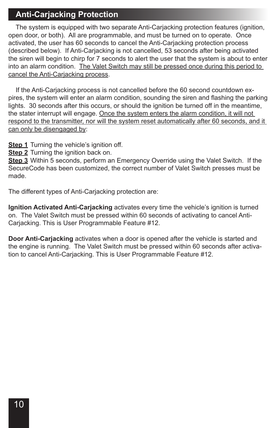## **Anti-Carjacking Protection**

The system is equipped with two separate Anti-Cariacking protection features (ignition, open door, or both). All are programmable, and must be turned on to operate. Once activated, the user has 60 seconds to cancel the Anti-Carjacking protection process (described below). If Anti-Carjacking is not cancelled, 53 seconds after being activated the siren will begin to chirp for 7 seconds to alert the user that the system is about to enter into an alarm condition. The Valet Switch may still be pressed once during this period to cancel the Anti-Carjacking process.

If the Anti-Cariacking process is not cancelled before the 60 second countdown expires, the system will enter an alarm condition, sounding the siren and flashing the parking lights. 30 seconds after this occurs, or should the ignition be turned off in the meantime, the stater interrupt will engage. Once the system enters the alarm condition, it will not respond to the transmitter, nor will the system reset automatically after 60 seconds, and it can only be disengaged by:

**Step 1** Turning the vehicle's ignition off.

**Step 2** Turning the ignition back on.

**Step 3** Within 5 seconds, perform an Emergency Override using the Valet Switch. If the SecureCode has been customized, the correct number of Valet Switch presses must be made.

The different types of Anti-Carjacking protection are:

**Ignition Activated Anti-Carjacking** activates every time the vehicle's ignition is turned on. The Valet Switch must be pressed within 60 seconds of activating to cancel Anti-Carjacking. This is User Programmable Feature #12.

**Door Anti-Carjacking** activates when a door is opened after the vehicle is started and the engine is running. The Valet Switch must be pressed within 60 seconds after activation to cancel Anti-Carjacking. This is User Programmable Feature #12.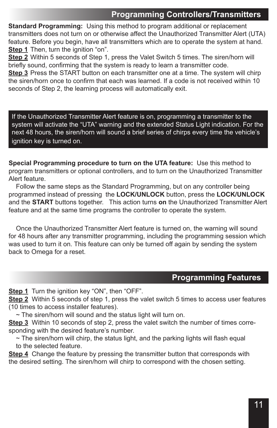## **Programming Controllers/Transmitters**

**Standard Programming:** Using this method to program additional or replacement transmitters does not turn on or otherwise affect the Unauthorized Transmitter Alert (UTA) feature. Before you begin, have all transmitters which are to operate the system at hand. **Step 1** Then, turn the ignition "on".

**Step 2** Within 5 seconds of Step 1, press the Valet Switch 5 times. The siren/horn will briefly sound, confirming that the system is ready to learn a transmitter code.

**Step 3** Press the START button on each transmitter one at a time. The system will chirp the siren/horn once to confirm that each was learned. If a code is not received within 10 seconds of Step 2, the learning process will automatically exit.

If the Unauthorized Transmitter Alert feature is on, programming a transmitter to the system will activate the "UTA" warning and the extended Status Light indication. For the next 48 hours, the siren/horn will sound a brief series of chirps every time the vehicle's ignition key is turned on.

**Special Programming procedure to turn on the UTA feature:** Use this method to program transmitters or optional controllers, and to turn on the Unauthorized Transmitter Alert feature.

Follow the same steps as the Standard Programming, but on any controller being programmed instead of pressing the **LOCK/UNLOCK** button, press the **LOCK/UNLOCK** and the **START** buttons together. This action turns **on** the Unauthorized Transmitter Alert feature and at the same time programs the controller to operate the system.

Once the Unauthorized Transmitter Alert feature is turned on, the warning will sound for 48 hours after any transmitter programming, including the programming session which was used to turn it on. This feature can only be turned off again by sending the system back to Omega for a reset.

## **Programming Features**

**Step 1** Turn the ignition key "ON", then "OFF".

**Step 2** Within 5 seconds of step 1, press the valet switch 5 times to access user features (10 times to access installer features).

 $\sim$  The siren/horn will sound and the status light will turn on.

**Step 3** Within 10 seconds of step 2, press the valet switch the number of times corresponding with the desired feature's number.

 $\sim$  The siren/horn will chirp, the status light, and the parking lights will flash equal to the selected feature.

**Step 4** Change the feature by pressing the transmitter button that corresponds with the desired setting. The siren/horn will chirp to correspond with the chosen setting.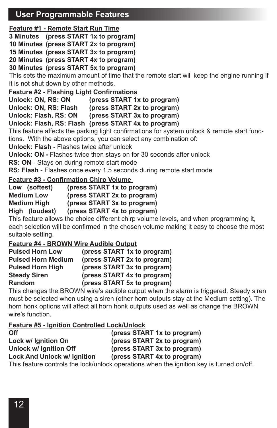## **User Programmable Features**

#### **Feature #1 - Remote Start Run Time**

**3 Minutes (press START 1x to program)** 

**10 Minutes (press START 2x to program)** 

**15 Minutes (press START 3x to program)**

**20 Minutes (press START 4x to program)**

**30 Minutes (press START 5x to program)**

This sets the maximum amount of time that the remote start will keep the engine running if it is not shut down by other methods.

## **Feature #2 - Flashing Light Confirmations**

**Unlock: ON, RS: ON** (press START 1x to program)<br>
Unlock: ON, RS: Flash (press START 2x to program)

**Unlock: ON, RS: Flash (press START 2x to program)**

#### (press START 3x to program)

#### **Unlock: Flash, RS: Flash (press START 4x to program)**

This feature affects the parking light confirmations for system unlock & remote start functions. With the above options, you can select any combination of:

**Unlock: Flash -** Flashes twice after unlock

**Unlock: ON -** Flashes twice then stays on for 30 seconds after unlock

**RS: ON** - Stays on during remote start mode

**RS: Flash** - Flashes once every 1.5 seconds during remote start mode

#### **Feature #3 - Confirmation Chirp Volume**

| Low (softest)      | (press START 1x to program) |
|--------------------|-----------------------------|
| <b>Medium Low</b>  | (press START 2x to program) |
| <b>Medium High</b> | (press START 3x to program) |
| High (loudest)     | (press START 4x to program) |

This feature allows the choice different chirp volume levels, and when programming it, each selection will be confirmed in the chosen volume making it easy to choose the most suitable setting.

#### **Feature #4 - BROWN Wire Audible Output**

| <b>Pulsed Horn Low</b>    | (press START 1x to program) |
|---------------------------|-----------------------------|
| <b>Pulsed Horn Medium</b> | (press START 2x to program) |
| <b>Pulsed Horn High</b>   | (press START 3x to program) |
| <b>Steady Siren</b>       | (press START 4x to program) |
| Random                    | (press START 5x to program) |

This changes the BROWN wire's audible output when the alarm is triggered. Steady siren must be selected when using a siren (other horn outputs stay at the Medium setting). The horn honk options will affect all horn honk outputs used as well as change the BROWN wire's function.

#### **Feature #5 - Ignition Controlled Lock/Unlock**

| Off                         | (press START 1x to program)                                                              |
|-----------------------------|------------------------------------------------------------------------------------------|
| Lock w/ lanition On         | (press START 2x to program)                                                              |
| Unlock w/ lanition Off      | (press START 3x to program)                                                              |
| Lock And Unlock w/ Ianition | (press START 4x to program)                                                              |
|                             | This feature controls the lock/unlock operations when the ignition key is turned on/off. |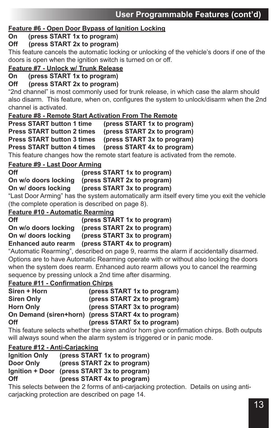## **Feature #6 - Open Door Bypass of Ignition Locking**

## **On (press START 1x to program)**

#### **Off (press START 2x to program)**

This feature cancels the automatic locking or unlocking of the vehicle's doors if one of the doors is open when the ignition switch is turned on or off.

## **Feature #7 - Unlock w/ Trunk Release**

**On (press START 1x to program)** 

#### **Off (press START 2x to program)**

"2nd channel" is most commonly used for trunk release, in which case the alarm should also disarm. This feature, when on, configures the system to unlock/disarm when the 2nd channel is activated.

## **Feature #8 - Remote Start Activation From The Remote**

**Press START button 1 time (press START 1x to program)** 

**Press START button 2 times (press START 2x to program)** 

**Press START button 3 times (press START 3x to program)**

#### (press START 4x to program)

This feature changes how the remote start feature is activated from the remote.

#### **Feature #9 - Last Door Arming**

| Off | (press START 1x to program) |
|-----|-----------------------------|
|-----|-----------------------------|

**On w/o doors locking (press START 2x to program)**

**On w/ doors locking (press START 3x to program)**

"Last Door Arming" has the system automatically arm itself every time you exit the vehicle (the complete operation is described on page 8).

#### **Feature #10 - Automatic Rearming**

| Off                        | (press START 1x to program) |
|----------------------------|-----------------------------|
| On w/o doors locking       | (press START 2x to program) |
| On w/ doors locking        | (press START 3x to program) |
| <b>Enhanced auto rearm</b> | (press START 4x to program) |

"Automatic Rearming", described on page 9, rearms the alarm if accidentally disarmed. Options are to have Automatic Rearming operate with or without also locking the doors when the system does rearm. Enhanced auto rearm allows you to cancel the rearming sequence by pressing unlock a 2nd time after disarming.

#### **Feature #11 - Confirmation Chirps**

| (press START 1x to program)<br>Siren + Horn        |  |
|----------------------------------------------------|--|
| (press START 2x to program)<br>Siren Onlv          |  |
| (press START 3x to program)<br><b>Horn Only</b>    |  |
| On Demand (siren+horn) (press START 4x to program) |  |
| (press START 5x to program)<br>Off                 |  |

This feature selects whether the siren and/or horn give confirmation chirps. Both outputs will always sound when the alarm system is triggered or in panic mode.

#### **Feature #12 - Anti-Carjacking**

| <b>Ignition Only</b>   | (press START 1x to program) |
|------------------------|-----------------------------|
| Door Only              | (press START 2x to program) |
| <b>Ignition + Door</b> | (press START 3x to program) |
| Off                    | (press START 4x to program) |

This selects between the 2 forms of anti-carjacking protection. Details on using anticarjacking protection are described on page 14.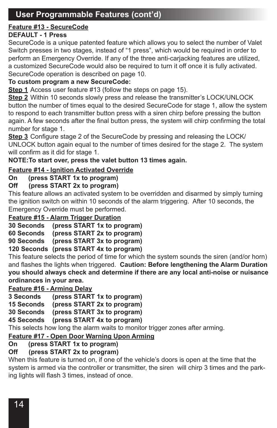## **Feature #13 - SecureCode**

#### **DEFAULT - 1 Press**

SecureCode is a unique patented feature which allows you to select the number of Valet Switch presses in two stages, instead of "1 press", which would be required in order to perform an Emergency Override. If any of the three anti-carjacking features are utilized, a customized SecureCode would also be required to turn it off once it is fully activated. SecureCode operation is described on page 10.

#### **To custom program a new SecureCode:**

**Step 1** Access user feature #13 (follow the steps on page 15).

**Step 2** Within 10 seconds slowly press and release the transmitter's LOCK/UNLOCK button the number of times equal to the desired SecureCode for stage 1, allow the system to respond to each transmitter button press with a siren chirp before pressing the button again. A few seconds after the final button press, the system will chirp confirming the total number for stage 1.

**Step 3** Configure stage 2 of the SecureCode by pressing and releasing the LOCK/ UNLOCK button again equal to the number of times desired for the stage 2. The system will confirm as it did for stage 1.

#### **NOTE:To start over, press the valet button 13 times again.**

#### **Feature #14 - Ignition Activated Override**

**On (press START 1x to program)**

#### **Off (press START 2x to program)**

This feature allows an activated system to be overridden and disarmed by simply turning the ignition switch on within 10 seconds of the alarm triggering. After 10 seconds, the Emergency Override must be performed.

#### **Feature #15 - Alarm Trigger Duration**

**30 Seconds (press START 1x to program)** 

**60 Seconds (press START 2x to program)**

**90 Seconds (press START 3x to program)**

**120 Seconds (press START 4x to program)** 

This feature selects the period of time for which the system sounds the siren (and/or horn) and flashes the lights when triggered. **Caution: Before lengthening the Alarm Duration you should always check and determine if there are any local anti-noise or nuisance ordinances in your area.** 

#### **Feature #16 - Arming Delay**

**3 Seconds (press START 1x to program)** 

**15 Seconds (press START 2x to program)**

**30 Seconds (press START 3x to program)**

#### **45 Seconds (press START 4x to program)**

This selects how long the alarm waits to monitor trigger zones after arming.

### **Feature #17 - Open Door Warning Upon Arming**

## **On (press START 1x to program)**

#### **Off (press START 2x to program)**

When this feature is turned on, if one of the vehicle's doors is open at the time that the system is armed via the controller or transmitter, the siren will chirp 3 times and the parking lights will flash 3 times, instead of once.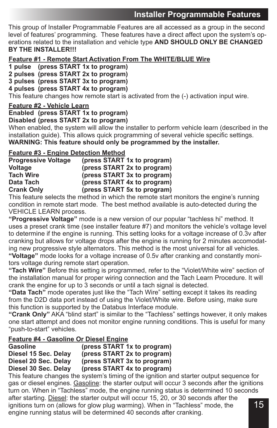## **Installer Programmable Features**

This group of Installer Programmable Features are all accessed as a group in the second level of features' programming. These features have a direct affect upon the system's operations related to the installation and vehicle type **AND SHOULD ONLY BE CHANGED BY THE INSTALLER!!!**

#### **Feature #1 - Remote Start Activation From The WHITE/BLUE Wire**

**1 pulse (press START 1x to program)** 

**2 pulses (press START 2x to program)**

**3 pulses (press START 3x to program)**

**4 pulses (press START 4x to program)**

This feature changes how remote start is activated from the (-) activation input wire.

#### **Feature #2 - Vehicle Learn**

**Enabled (press START 1x to program)** 

#### **Disabled (press START 2x to program)**

When enabled, the system will allow the installer to perform vehicle learn (described in the installation guide). This allows quick programming of several vehicle specific settings. **WARNING: This feature should only be programmed by the installer.** 

#### **Feature #3 - Engine Detection Method**

| <b>Progressive Voltage</b> | (press START 1x to program) |
|----------------------------|-----------------------------|
| Voltage                    | (press START 2x to program) |
| <b>Tach Wire</b>           | (press START 3x to program) |
| Data Tach                  | (press START 4x to program) |
| <b>Crank Only</b>          | (press START 5x to program) |

**Crank Only (press START 5x to program)** This feature selects the method in which the remote start monitors the engine's running condition in remote start mode. The best method available is auto-detected during the VEHICLE LEARN process.

**"Progressive Voltage"** mode is a new version of our popular "tachless hi" method. It uses a preset crank time (see installer feature #7) and monitors the vehicle's voltage level to determine if the engine is running. This setting looks for a voltage increase of 0.3v after cranking but allows for voltage drops after the engine is running for 2 minutes accomodating new progressive style alternators. This method is the most universal for all vehicles. **"Voltage"** mode looks for a voltage increase of 0.5v after cranking and constantly monitors voltage during remote start operation.

**"Tach Wire"** Before this setting is programmed, refer to the "Violet/White wire" section of the installation manual for proper wiring connection and the Tach Learn Procedure. It will crank the engine for up to 3 seconds or until a tach signal is detected.

**"Data Tach"** mode operates just like the "Tach Wire" setting except it takes its reading from the D2D data port instead of using the Violet/White wire. Before using, make sure this function is supported by the Databus Interface module.

**"Crank Only"** AKA "blind start" is similar to the "Tachless" settings however, it only makes one start attempt and does not monitor engine running conditions. This is useful for many "push-to-start" vehicles.

#### **Feature #4 - Gasoline Or Diesel Engine**

| Gasoline             | (press START 1x to program) |
|----------------------|-----------------------------|
| Diesel 15 Sec. Delay | (press START 2x to program) |
| Diesel 20 Sec. Delay | (press START 3x to program) |
| Diesel 30 Sec. Delay | (press START 4x to program) |
|                      |                             |

This feature changes the system's timing of the ignition and starter output sequence for gas or diesel engines. Gasoline: the starter output will occur 3 seconds after the ignitions turn on. When in "Tachless" mode, the engine running status is determined 10 seconds after starting. Diesel: the starter output will occur 15, 20, or 30 seconds after the ignitions turn on (allows for glow plug warming). When in "Tachless" mode, the engine running status will be determined 40 seconds after cranking. 15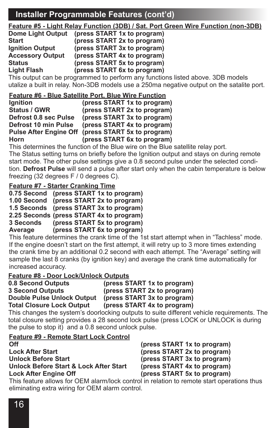## **Installer Programmable Features (cont'd)**

**Feature #5 - Light Relay Function (3DB) / Sat. Port Green Wire Function (non-3DB)**

| Dome Light Output       | (press START 1x to program) |
|-------------------------|-----------------------------|
| <b>Start</b>            | (press START 2x to program) |
| <b>Ignition Output</b>  | (press START 3x to program) |
| <b>Accessory Output</b> | (press START 4x to program) |
| <b>Status</b>           | (press START 5x to program) |
| Light Flash             | (press START 6x to program) |

**Light Flash (press START 6x to program)** This output can be programmed to perform any functions listed above. 3DB models utalize a built in relay. Non-3DB models use a 250ma negative output on the satalite port.

#### **Feature #6 - Blue Satellite Port, Blue Wire Function**

| Ignition                      | (press START 1x to program) |
|-------------------------------|-----------------------------|
| Status / GWR                  | (press START 2x to program) |
| Defrost 0.8 sec Pulse         | (press START 3x to program) |
| Defrost 10 min Pulse          | (press START 4x to program) |
| <b>Pulse After Engine Off</b> | (press START 5x to program) |
| Horn                          | (press START 6x to program) |

**Horn (press START 6x to program)** This determines the function of the Blue wire on the Blue satellite relay port.

The Status setting turns on briefly before the Ignition output and stays on during remote start mode. The other pulse settings give a 0.8 second pulse under the selected condition. **Defrost Pulse** will send a pulse after start only when the cabin temperature is below freezing (32 degrees F / 0 degrees C).

#### **Feature #7 - Starter Cranking Time**

**0.75 Second (press START 1x to program) 1.00 Second (press START 2x to program) 1.5 Seconds (press START 3x to program) 2.25 Seconds (press START 4x to program) 3 Seconds (press START 5x to program) Average (press START 6x to program)**

This feature determines the crank time of the 1st start attempt when in "Tachless" mode. If the engine doesn't start on the first attempt, it will retry up to 3 more times extending the crank time by an additional 0.2 second with each attempt. The "Average" setting will sample the last 8 cranks (by ignition key) and average the crank time automatically for increased accuracy.

#### **Feature #8 - Door Lock/Unlock Outputs**

| 0.8 Second Outputs               | (press START 1x to program) |
|----------------------------------|-----------------------------|
| <b>3 Second Outputs</b>          | (press START 2x to program) |
| Double Pulse Unlock Output       | (press START 3x to program) |
| <b>Total Closure Lock Output</b> | (press START 4x to program) |

**Total Closure Lock Output (press START 4x to program)** This changes the system's doorlocking outputs to suite different vehicle requirements. The total closure setting provides a 28 second lock pulse (press LOCK or UNLOCK is during the pulse to stop it) and a 0.8 second unlock pulse.

| Feature #9 - Remote Start Lock Control |                             |
|----------------------------------------|-----------------------------|
| Off                                    | (press START 1x to program) |
| <b>Lock After Start</b>                | (press START 2x to program) |
| <b>Unlock Before Start</b>             | (press START 3x to program) |
| Unlock Before Start & Lock After Start | (press START 4x to program) |
| <b>Lock After Engine Off</b>           | (press START 5x to program) |

**Lock After Engine Off (press START 5x to program)** This feature allows for OEM alarm/lock control in relation to remote start operations thus eliminating extra wiring for OEM alarm control.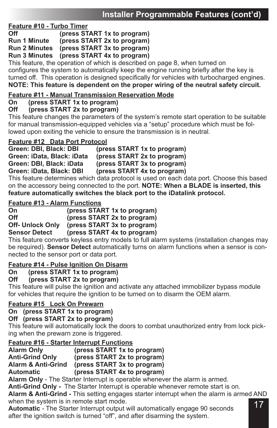## **Feature #10 - Turbo Timer**

**Off** (press START 1x to program)<br> **Run 1 Minute** (press START 2x to program) (press START 2x to program) **Run 2 Minutes (press START 3x to program)**

**Run 3 Minutes (press START 4x to program)**

This feature, the operation of which is described on page 8, when turned on configures the system to automatically keep the engine running briefly after the key is turned off. This operation is designed specifically for vehicles with turbocharged engines.

**NOTE: This feature is dependent on the proper wiring of the neutral safety circuit.**

## **Feature #11 - Manual Transmission Reservation Mode**

**On (press START 1x to program)**

#### **Off (press START 2x to program)**

This feature changes the parameters of the system's remote start operation to be suitable for manual transmission-equipped vehicles via a "setup" procedure which must be followed upon exiting the vehicle to ensure the transmission is in neutral.

#### **Feature #12 Data Port Protocol**

| Green: DBI, Black: DBI     | (press START 1x to program) |
|----------------------------|-----------------------------|
| Green: iData, Black: iData | (press START 2x to program) |
| Green: DBI, Black: iData   | (press START 3x to program) |
| Green: iData, Black: DBI   | (press START 4x to program) |
|                            |                             |

This feature determines which data protocol is used on each data port. Choose this based on the accessory being connected to the port. **NOTE: When a BLADE is inserted, this feature automatically switches the black port to the iDatalink protocol.**

#### **Feature #13 - Alarm Functions**

| On                      | (press START 1x to program) |
|-------------------------|-----------------------------|
| Off                     | (press START 2x to program) |
| <b>Off- Unlock Only</b> | (press START 3x to program) |
| <b>Sensor Detect</b>    | (press START 4x to program) |

**Sensor Detect (press START 4x to program)**<br>This feature converts keyless entry models to full alarm systems (installation changes may be required). **Sensor Detect** automatically turns on alarm functions when a sensor is connected to the sensor port or data port.

## **Feature #14 - Pulse Ignition On Disarm**

- **On (press START 1x to program)**
- **Off (press START 2x to program)**

This feature will pulse the ignition and activate any attached immobilizer bypass module for vehicles that require the ignition to be turned on to disarm the OEM alarm.

#### **Feature #15 Lock On Prewarn**

- **On (press START 1x to program)**
- **Off (press START 2x to program)**

This feature will automatically lock the doors to combat unauthorized entry from lock picking when the prewarn zone is triggered.

#### **Feature #16 - Starter Interrupt Functions**

| <b>Alarm Only</b>      | (press START 1x to program) |
|------------------------|-----------------------------|
| <b>Anti-Grind Only</b> | (press START 2x to program) |
| Alarm & Anti-Grind     | (press START 3x to program) |
| Automatic              | (press START 4x to program) |

**Automatic (press START 4x to program) Alarm Only** - The Starter Interrupt is operable whenever the alarm is armed.

**Anti-Grind Only -** The Starter Interrupt is operable whenever remote start is on.

**Alarm & Anti-Grind -** This setting engages starter interrupt when the alarm is armed AND when the system is in remote start mode. 17

**Automatic** - The Starter Interrupt output will automatically engage 90 seconds after the ignition switch is turned "off", and after disarming the system.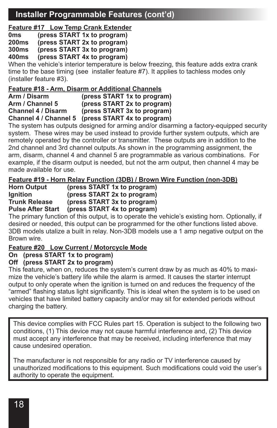## **Installer Programmable Features (cont'd)**

#### **Feature #17 Low Temp Crank Extender**

| 0ms        | (press START 1x to program) |
|------------|-----------------------------|
| 200ms      | (press START 2x to program) |
| <b>000</b> |                             |

**300ms (press START 3x to program)**

**400ms (press START 4x to program)**

When the vehicle's interior temperature is below freezing, this feature adds extra crank time to the base timing (see installer feature #7). It applies to tachless modes only (installer feature #3).

#### **Feature #18 - Arm, Disarm or Additional Channels**

| Arm / Disarm       | (press START 1x to program)                       |
|--------------------|---------------------------------------------------|
| Arm / Channel 5    | (press START 2x to program)                       |
| Channel 4 / Disarm | (press START 3x to program)                       |
|                    | Channel 4 / Channel 5 (press START 4x to program) |

**Channel 4 / Channel 5 (press START 4x to program)** The system has outputs designed for arming and/or disarming a factory-equipped security system. These wires may be used instead to provide further system outputs, which are remotely operated by the controller or transmitter. These outputs are in addition to the 2nd channel and 3rd channel outputs. As shown in the programming assignment, the arm, disarm, channel 4 and channel 5 are programmable as various combinations. For example, if the disarm output is needed, but not the arm output, then channel 4 may be made available for use.

#### **Feature #19 - Horn Relay Function (3DB) / Brown Wire Function (non-3DB)**

| <b>Horn Output</b>       | (press START 1x to program) |
|--------------------------|-----------------------------|
| Ignition                 | (press START 2x to program) |
| <b>Trunk Release</b>     | (press START 3x to program) |
| <b>Pulse After Start</b> | (press START 4x to program) |

**Pulse After Start (press START 4x to program)** The primary function of this output, is to operate the vehicle's existing horn. Optionally, if desired or needed, this output can be programmed for the other functions listed above. 3DB models utalize a built in relay. Non-3DB models use a 1 amp negative output on the Brown wire.

#### **Feature #20 Low Current / Motorcycle Mode**

#### **On (press START 1x to program)**

#### **Off (press START 2x to program)**

This feature, when on, reduces the system's current draw by as much as 40% to maximize the vehicle's battery life while the alarm is armed. It causes the starter interrupt output to only operate when the ignition is turned on and reduces the frequency of the "armed" flashing status light significantly. This is ideal when the system is to be used on vehicles that have limited battery capacity and/or may sit for extended periods without charging the battery.

This device complies with FCC Rules part 15. Operation is subject to the following two conditions, (1) This device may not cause harmful interference and, (2) This device must accept any interference that may be received, including interference that may cause undesired operation.

The manufacturer is not responsible for any radio or TV interference caused by unauthorized modifications to this equipment. Such modifications could void the user's authority to operate the equipment.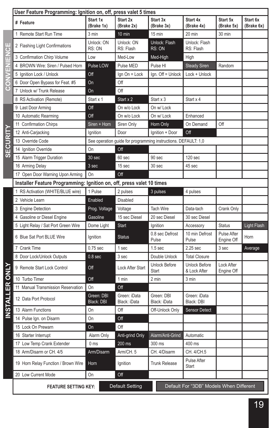|                              | User Feature Programming: Ignition on, off, press valet 5 times       |                          |                              |                                                                |                                         |                           |                        |
|------------------------------|-----------------------------------------------------------------------|--------------------------|------------------------------|----------------------------------------------------------------|-----------------------------------------|---------------------------|------------------------|
|                              | # Feature                                                             | Start 1x<br>(Brake 1x)   | Start 2x<br>(Brake 2x)       | Start 3x<br>(Brake 3x)                                         | Start 4x<br>(Brake 4x)                  | Start 5x<br>(Brake 5x)    | Start 6x<br>(Brake 6x) |
|                              | 1 Remote Start Run Time                                               | 3 min                    | 10 min                       | 15 min                                                         | 20 min                                  | 30 min                    |                        |
| π<br>$\overline{\mathbf{C}}$ | 2 Flashing Light Confirmations                                        | Unlock: ON<br>RS: ON     | Unlock: ON<br>RS: Flash      | Unlock: Flash<br>RS: ON                                        | Unlock: Flash<br>RS: Flash              |                           |                        |
| Š                            | 3 Confirmation Chirp Volume                                           | Low                      | Med-Low                      | Med-High                                                       | High                                    |                           |                        |
|                              | 4 BROWN Wire: Siren / Pulsed Horn                                     | Pulse LOW                | Pulse MED                    | Pulse HI                                                       | <b>Steady Siren</b>                     | Random                    |                        |
| CONVENI                      | 5 Ignition Lock / Unlock                                              | Off                      | Ign On = Lock                | Ign. Off = Unlock                                              | Lock + Unlock                           |                           |                        |
|                              | 6 Door Open Bypass for Feat. #5                                       | On                       | Off                          |                                                                |                                         |                           |                        |
|                              | 7 Unlock w/ Trunk Release                                             | On                       | Off                          |                                                                |                                         |                           |                        |
|                              | 8 RS Activation (Remote)                                              | Start x 1                | Start x 2                    | Start x 3                                                      | Start x 4                               |                           |                        |
|                              | 9 Last Door Arming                                                    | Off                      | On w/o Lock                  | On w/ Lock                                                     |                                         |                           |                        |
|                              | 10 Automatic Rearming                                                 | Off                      | On w/o Lock                  | On w/ Lock                                                     | Enhanced                                |                           |                        |
|                              | <b>Confirmation Chirps</b><br>11                                      | Siren + Horn             | Siren Only                   | Horn Only                                                      | On Demand                               | Off                       |                        |
|                              | 12 Anti-Carjacking                                                    | lgnition                 | Door                         | Ignition + Door                                                | Off                                     |                           |                        |
| <b>SECURITY</b>              | 13 Override Code                                                      |                          |                              | See operation guide for programming instructions. DEFAULT: 1,0 |                                         |                           |                        |
|                              | Ignition Override<br>14                                               | On                       | Off                          |                                                                |                                         |                           |                        |
|                              | 15 Alarm Trigger Duration                                             | 30 sec                   | 60 sec                       | 90 sec                                                         | 120 sec                                 |                           |                        |
|                              | 16 Arming Delay                                                       | 3 sec                    | 15 sec                       | 30 sec                                                         | 45 sec                                  |                           |                        |
|                              | 17 Open Door Warning Upon Arming                                      | On                       | Off                          |                                                                |                                         |                           |                        |
|                              | Installer Feature Programming: Ignition on, off, press valet 10 times |                          |                              |                                                                |                                         |                           |                        |
|                              | 1 RS Activation (WHITE/BLUE wire)                                     | 1 Pulse                  | 2 pulses                     | 3 pulses                                                       | 4 pulses                                |                           |                        |
|                              | 2 Vehicle Learn                                                       | Enabled                  | Disabled                     |                                                                |                                         |                           |                        |
|                              | 3 Engine Detection                                                    | Prog. Voltage            | Voltage                      | <b>Tach Wire</b>                                               | Data-tach                               | Crank Only                |                        |
|                              | 4 Gasoline or Diesel Engine                                           | Gasoline                 | 15 sec Diesel                | 20 sec Diesel                                                  | 30 sec Diesel                           |                           |                        |
|                              | 5 Light Relay / Sat Port Green Wire                                   | Dome Light               | <b>Start</b>                 | Ignition                                                       | Accessory                               | <b>Status</b>             | Light Flash            |
|                              | 6 Blue Sat Port BLUE Wire                                             | lgnition                 | <b>Status</b>                | 0.8 sec Defrost<br>Pulse                                       | 10 min Defrost<br>Pulse                 | Pulse After<br>Engine Off | Horn                   |
|                              | 7 Crank Time                                                          | 0.75 <sub>sec</sub>      | 1 sec                        | 1.5 <sub>sec</sub>                                             | 2.25 sec                                | 3 sec                     | Average                |
|                              | 8 Door Lock/Unlock Outputs                                            | 0.8 <sub>sec</sub>       | 3 <sub>sec</sub>             | Double Unlock                                                  | <b>Total Closure</b>                    |                           |                        |
|                              | 9 Remote Start Lock Control                                           | Off                      | Lock After Start             | Unlock Before<br>Start                                         | Unlock Before<br>& Lock After           | Lock After<br>Engine Off  |                        |
|                              | 10 Turbo Timer                                                        | Off                      | 1 min                        | 2 min                                                          | 3 min                                   |                           |                        |
|                              | 11 Manual Transmission Reservation                                    | On                       | Off                          |                                                                |                                         |                           |                        |
| <b>INSTALLER ONLY</b>        | 12 Data Port Protocol                                                 | Green: DBI<br>Black: DBI | Green: iData<br>Black: iData | Green: DBI<br>Black: iData                                     | Green: iData<br>Black: DBI              |                           |                        |
|                              | 13 Alarm Functions                                                    | On                       | Off                          | Off-Unlock Only                                                | <b>Sensor Detect</b>                    |                           |                        |
|                              | 14 Pulse Ign. on Disarm                                               | On                       | Off                          |                                                                |                                         |                           |                        |
|                              | 15 Lock On Prewarn                                                    | On                       | Off                          |                                                                |                                         |                           |                        |
|                              | 16 Starter Interrupt                                                  | Alarm Only               | Anti-grind Only              | Alarm/Anti-Grind                                               | Automatic                               |                           |                        |
|                              | 17 Low Temp Crank Extender                                            | 0 <sub>ms</sub>          | 200 ms                       | 300 ms                                                         | 400 ms                                  |                           |                        |
|                              | 18 Arm/Disarm or CH, 4/5                                              | Arm/Disarm               | Arm/CH. 5                    | CH. 4/Disarm                                                   | CH. 4/CH.5                              |                           |                        |
|                              | 19 Horn Relay Function / Brown Wire                                   | Horn                     | Ignition                     | <b>Trunk Release</b>                                           | Pulse After<br>Start                    |                           |                        |
|                              | 20 Low Current Mode                                                   | On                       | Off                          |                                                                |                                         |                           |                        |
|                              | <b>FEATURE SETTING KEY:</b>                                           |                          | <b>Default Setting</b>       |                                                                | Default For "3DB" Models When Different |                           |                        |